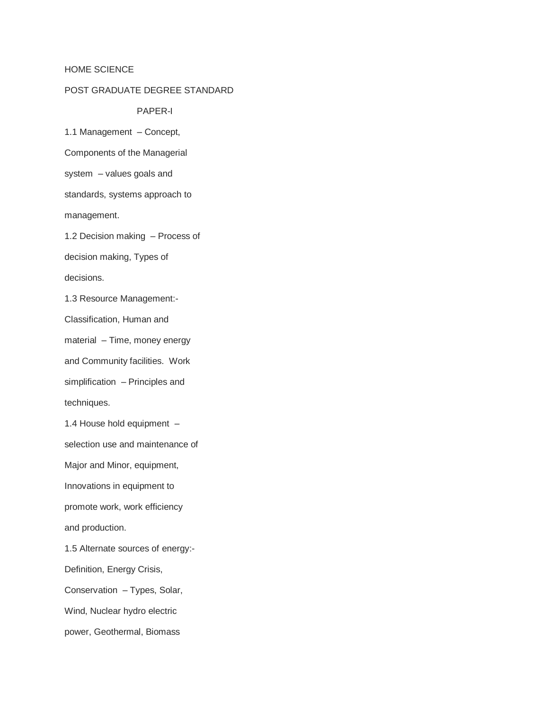## HOME SCIENCE

## POST GRADUATE DEGREE STANDARD

## PAPER-I

1.1 Management – Concept,

Components of the Managerial

system – values goals and

standards, systems approach to

management.

1.2 Decision making – Process of

decision making, Types of

decisions.

1.3 Resource Management:-

Classification, Human and

material – Time, money energy

and Community facilities. Work

simplification – Principles and techniques.

1.4 House hold equipment –

selection use and maintenance of

Major and Minor, equipment,

Innovations in equipment to

promote work, work efficiency

and production.

1.5 Alternate sources of energy:-

Definition, Energy Crisis,

Conservation – Types, Solar,

Wind, Nuclear hydro electric

power, Geothermal, Biomass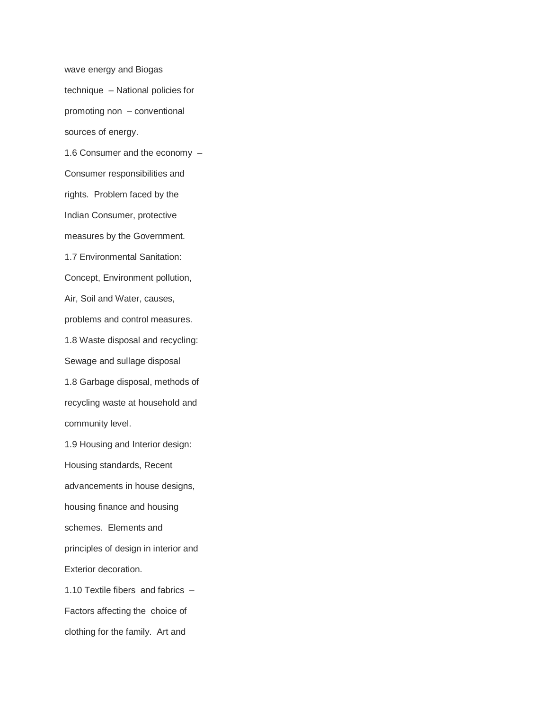wave energy and Biogas technique – National policies for promoting non – conventional sources of energy. 1.6 Consumer and the economy – Consumer responsibilities and rights. Problem faced by the Indian Consumer, protective measures by the Government. 1.7 Environmental Sanitation: Concept, Environment pollution, Air, Soil and Water, causes, problems and control measures. 1.8 Waste disposal and recycling: Sewage and sullage disposal 1.8 Garbage disposal, methods of recycling waste at household and community level. 1.9 Housing and Interior design: Housing standards, Recent advancements in house designs, housing finance and housing schemes. Elements and principles of design in interior and Exterior decoration. 1.10 Textile fibers and fabrics – Factors affecting the choice of clothing for the family. Art and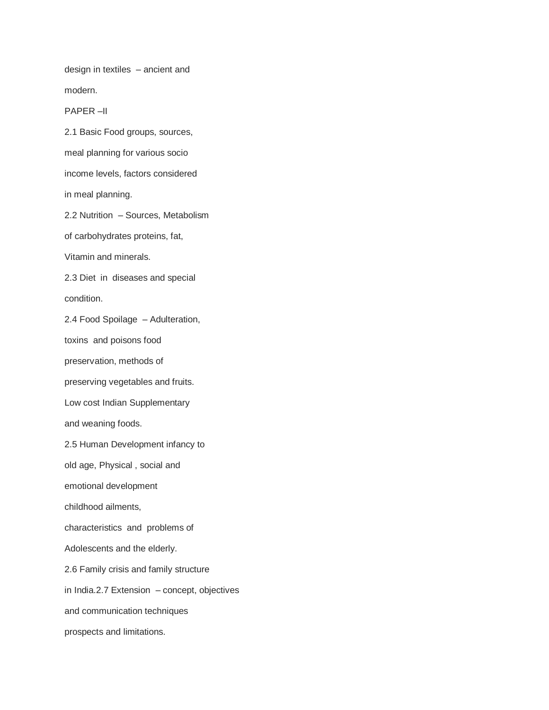design in textiles – ancient and

modern.

PAPER –II

2.1 Basic Food groups, sources,

meal planning for various socio

income levels, factors considered

in meal planning.

2.2 Nutrition – Sources, Metabolism

of carbohydrates proteins, fat,

Vitamin and minerals.

2.3 Diet in diseases and special condition.

2.4 Food Spoilage – Adulteration,

toxins and poisons food

preservation, methods of

preserving vegetables and fruits.

Low cost Indian Supplementary

and weaning foods.

2.5 Human Development infancy to

old age, Physical , social and

emotional development

childhood ailments,

characteristics and problems of

Adolescents and the elderly.

2.6 Family crisis and family structure

in India.2.7 Extension – concept, objectives

and communication techniques

prospects and limitations.